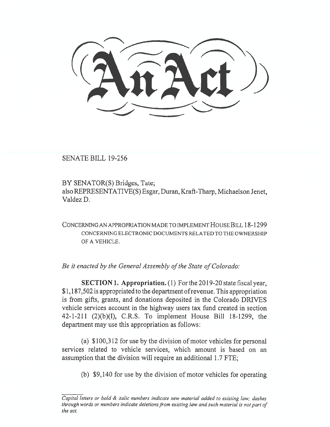SENATE BILL 19-256

BY SENATOR(S) Bridges, Tate; also REPRESENTATIVE(S) Esgar, Duran, Kraft-Tharp, Michaelson Jenet, Valdez D.

CONCERNING AN APPROPRIATION MADE TO IMPLEMENT HOUSE BILL 18-1299 CONCERNING ELECTRONIC DOCUMENTS RELATED TO THE OWNERSHIP OF A VEHICLE.

*Be it enacted by the General Assembly of the State of Colorado:* 

**SECTION 1. Appropriation.** (1) For the 2019-20 state fiscal year, \$1,187,502 is appropriated to the department ofrevenue. This appropriation is from gifts, grants, and donations deposited in the Colorado DRIVES vehicle services account in the highway users tax fund created in section 42-1-211 (2)(b)(I), C.R.S. To implement House Bill 18-1299, the department may use this appropriation as follows:

(a) \$100,312 for use by the division of motor vehicles for personal services related to vehicle services, which amount is based on an assumption that the division will require an additional 1.7 FTE;

(b) \$9,140 for use by the division of motor vehicles for operating

*Capital letters or bold & italic numbers indicate new material added to existing law; dashes through words or numbers indicate deletions from existing law and such material is not part of the act.*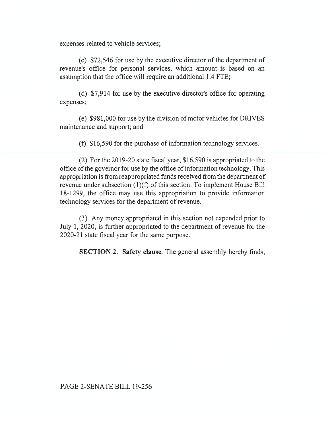expenses related to vehicle services;

(c) \$72,546 for use by the executive director of the department of revenue's office for personal services, which amount is based on an assumption that the office will require an additional 1.4 FTE;

(d) \$7,914 for use by the executive director's office for operating expenses;

(e) \$981,000 for use by the division of motor vehicles for DRIVES maintenance and support; and

(f) \$16,590 for the purchase of information technology services.

(2) For the 2019-20 state fiscal year, \$16,590 is appropriated to the office of the governor for use by the office of information technology. This appropriation is from reappropriated funds received from the department of revenue under subsection (1)(f) of this section. To implement House Bill 18-1299, the office may use this appropriation to provide information technology services for the department of revenue.

(3) Any money appropriated in this section not expended prior to July 1, 2020, is further appropriated to the department of revenue for the 2020-21 state fiscal year for the same purpose.

**SECTION 2. Safety clause.** The general assembly hereby finds,